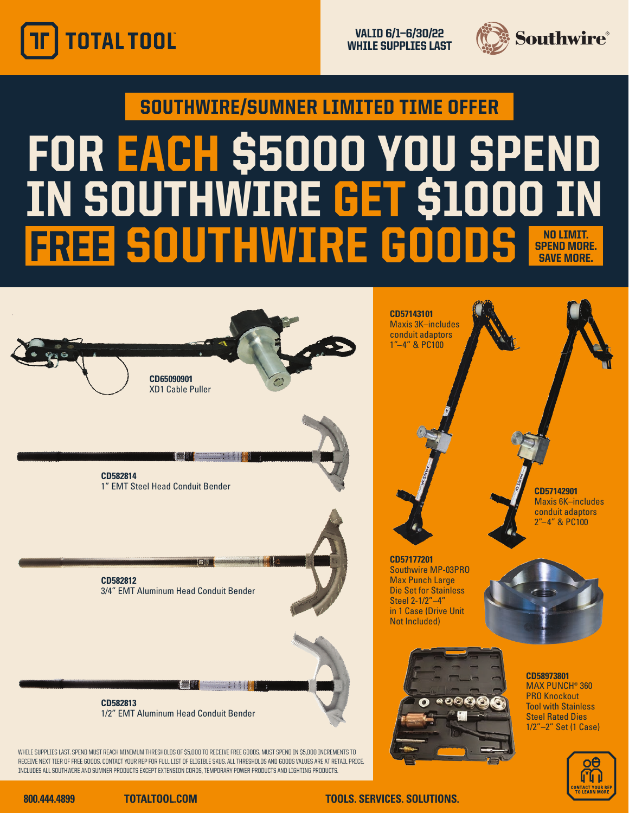

VALID 6/1—6/30/22 WHILE SUPPLIES LAST



SOUTHWIRE/SUMNER LIMITED TIME OFFER

## FOR EACH \$5000 YOU SPEND IN SOUTHWIRE GET \$1000 IN **FREE SOUTHWIRE GOODS NO LINGE** SPEND MORE. **SAVE MORE**



WHILE SUPPLIES LAST. SPEND MUST REACH MINIMUM THRESHOLDS OF \$5,000 TO RECEIVE FREE GOODS. MUST SPEND IN \$5,000 INCREMENTS TO RECEIVE NEXT TIER OF FREE GOODS. CONTACT YOUR REP FOR FULL LIST OF ELIGIBLE SKUS. ALL THRESHOLDS AND GOODS VALUES ARE AT RETAIL PRICE. INCLUDES ALL SOUTHWIRE AND SUMNER PRODUCTS EXCEPT EXTENSION CORDS, TEMPORARY POWER PRODUCTS AND LIGHTING PRODUCTS.





### **800.444.4899 TOTALTOOL.COM TOOLS. SERVICES. SOLUTIONS.**